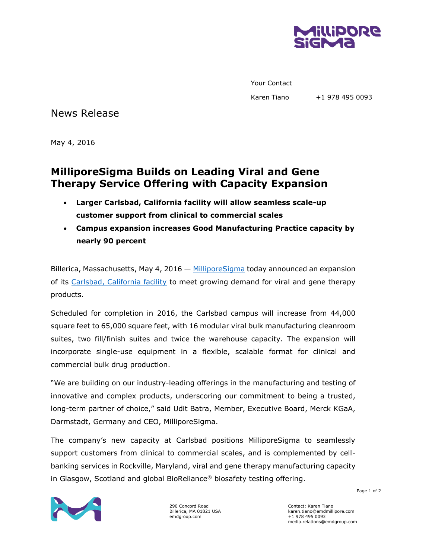

Your Contact

Karen Tiano +1 978 495 0093

News Release

May 4, 2016

## **MilliporeSigma Builds on Leading Viral and Gene Therapy Service Offering with Capacity Expansion**

- **Larger Carlsbad, California facility will allow seamless scale-up customer support from clinical to commercial scales**
- **Campus expansion increases Good Manufacturing Practice capacity by nearly 90 percent**

Billerica, Massachusetts, May 4, 2016 — [MilliporeSigma](http://www.emdgroup.com/emd/products/life_science/life_science.html) today announced an expansion of its [Carlsbad, California facility](http://www.sigmaaldrich.com/safc/facilities/carlsbad-california.html?utm_source=redirect&utm_medium=promotional&utm_campaign=safc-carlsbad) to meet growing demand for viral and gene therapy products.

Scheduled for completion in 2016, the Carlsbad campus will increase from 44,000 square feet to 65,000 square feet, with 16 modular viral bulk manufacturing cleanroom suites, two fill/finish suites and twice the warehouse capacity. The expansion will incorporate single-use equipment in a flexible, scalable format for clinical and commercial bulk drug production.

"We are building on our industry-leading offerings in the manufacturing and testing of innovative and complex products, underscoring our commitment to being a trusted, long-term partner of choice," said Udit Batra, Member, Executive Board, Merck KGaA, Darmstadt, Germany and CEO, MilliporeSigma.

The company's new capacity at Carlsbad positions MilliporeSigma to seamlessly support customers from clinical to commercial scales, and is complemented by cellbanking services in Rockville, Maryland, viral and gene therapy manufacturing capacity in Glasgow, Scotland and global BioReliance® biosafety testing offering.



290 Concord Road Billerica, MA 01821 USA emdgroup.com

Contact: Karen Tiano karen.tiano@emdmillipore.com +1 978 495 0093 media.relations@emdgroup.com

Page 1 of 2